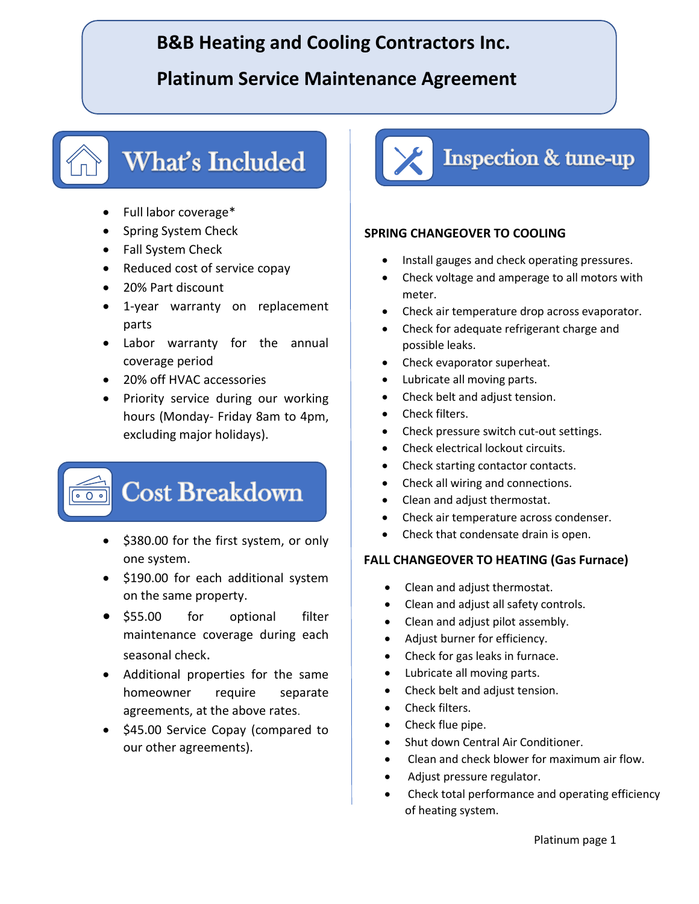## **B&B Heating and Cooling Contractors Inc.**

### **Platinum Service Maintenance Agreement**

# What's Included

- Full labor coverage\*
- Spring System Check
- Fall System Check
- Reduced cost of service copay
- 20% Part discount
- 1-year warranty on replacement parts
- Labor warranty for the annual coverage period
- 20% off HVAC accessories
- Priority service during our working hours (Monday- Friday 8am to 4pm, excluding major holidays).

# **Cost Breakdown**

- \$380.00 for the first system, or only one system.
- \$190.00 for each additional system on the same property.
- \$55.00 for optional filter maintenance coverage during each seasonal check.
- Additional properties for the same homeowner require separate agreements, at the above rates.
- \$45.00 Service Copay (compared to our other agreements).



#### **SPRING CHANGEOVER TO COOLING**

- Install gauges and check operating pressures.
- Check voltage and amperage to all motors with meter.
- Check air temperature drop across evaporator.
- Check for adequate refrigerant charge and possible leaks.
- Check evaporator superheat.
- Lubricate all moving parts.
- Check belt and adjust tension.
- Check filters.
- Check pressure switch cut-out settings.
- Check electrical lockout circuits.
- Check starting contactor contacts.
- Check all wiring and connections.
- Clean and adjust thermostat.
- Check air temperature across condenser.
- Check that condensate drain is open.

#### **FALL CHANGEOVER TO HEATING (Gas Furnace)**

- Clean and adjust thermostat.
- Clean and adjust all safety controls.
- Clean and adjust pilot assembly.
- Adjust burner for efficiency.
- Check for gas leaks in furnace.
- Lubricate all moving parts.
- Check belt and adjust tension.
- Check filters.
- Check flue pipe.
- Shut down Central Air Conditioner.
- Clean and check blower for maximum air flow.
- Adjust pressure regulator.
- Check total performance and operating efficiency of heating system.